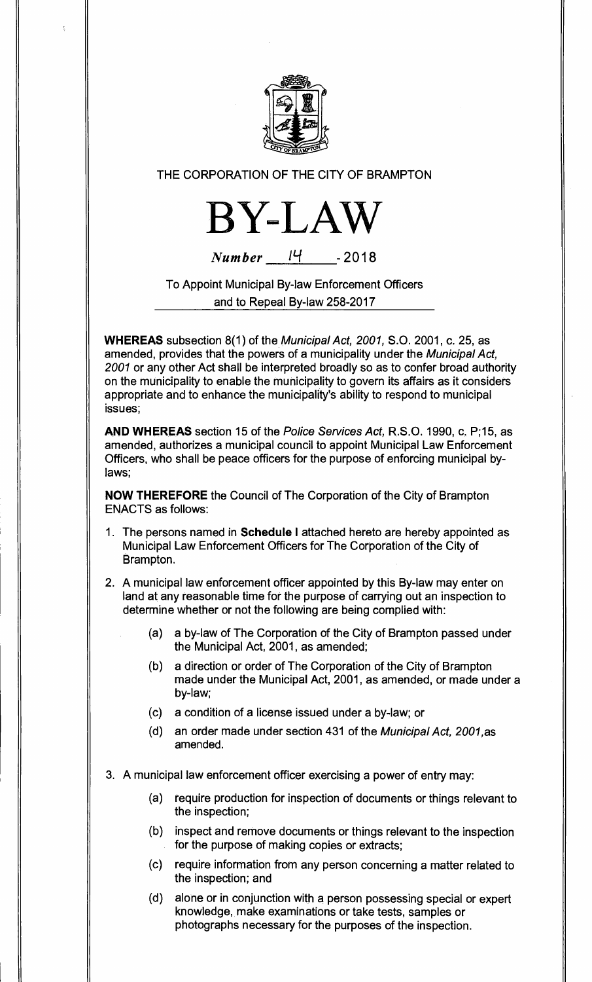

## THE CORPORATION OF THE CITY OF BRAMPTON



 $Number$  <sup>14</sup> - 2018

To Appoint Municipal By-law Enforcement Officers and to Repeal By-law 258-2017

**WHEREAS** subsection 8(1) of the Municipal Act, 2001, S.O. 2001, c. 25, as amended, provides that the powers of a municipality under the Municipal Act, 2001 or any other Act shall be interpreted broadly so as to confer broad authority on the municipality to enable the municipality to govern its affairs as it considers appropriate and to enhance the municipality's ability to respond to municipal issues;

**AND WHEREAS** section 15 of the Police Services Act, R.S.O. 1990, c. P;15, as amended, authorizes a municipal council to appoint Municipal Law Enforcement Officers, who shall be peace officers for the purpose of enforcing municipal bylaws;

**NOW THEREFORE** the Council of The Corporation of the City of Brampton ENACTS as follows:

- 1. The persons named in **Schedule I** attached hereto are hereby appointed as Municipal Law Enforcement Officers for The Corporation of the City of Brampton.
- 2. A municipal law enforcement officer appointed by this By-law may enter on land at any reasonable time for the purpose of carrying out an inspection to determine whether or not the following are being complied with:
	- (a) a by-law of The Corporation of the City of Brampton passed under the Municipal Act, 2001, as amended;
	- (b) a direction or order of The Corporation of the City of Brampton made under the Municipal Act, 2001, as amended, or made under a by-law;
	- (c) a condition of a license issued under a by-law; or
	- (d) an order made under section 431 of the Municipal Act, 2001,as amended.
- 3. A municipal law enforcement officer exercising a power of entry may:
	- (a) require production for inspection of documents or things relevant to the inspection;
	- (b) inspect and remove documents or things relevant to the inspection for the purpose of making copies or extracts;
	- (c) require information from any person concerning a matter related to the inspection; and
	- (d) alone or in conjunction with a person possessing special or expert knowledge, make examinations or take tests, samples or photographs necessary for the purposes of the inspection.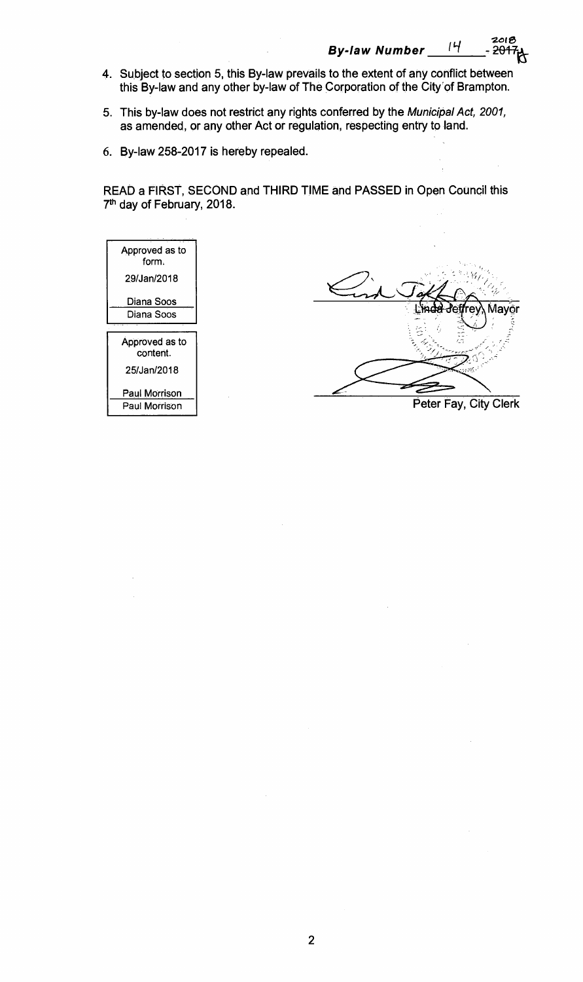$By$ -law Number 14

2018<br>2<del>017</del> -

- **4. Subject to section 5, this By-law prevails to the extent of any conflict between this By-law and any other by-law of The Corporation of the City'of Brampton.**
- **5. This by-law does not restrict any rights conferred by the** Municipal Act, 2001, **as amended, or any other Act or regulation, respecting entry to land.**
- **6. By-law 258-2017 is hereby repealed.**

**READ a FIRST, SECOND and THIRD TIME and PASSED in Open Council this 7th day of February, 2018.** 

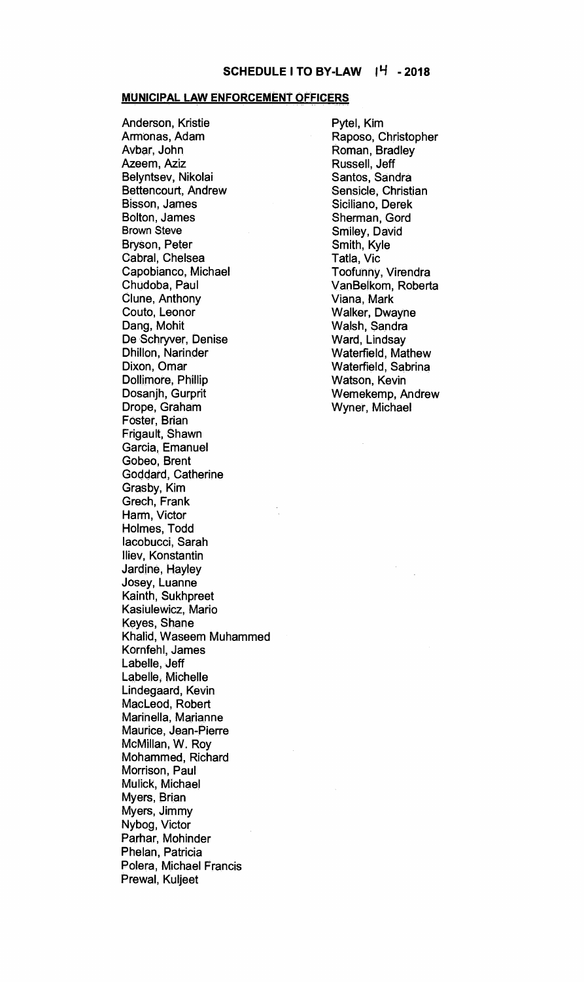#### **MUNICIPAL LAW ENFORCEMENT OFFICERS**

**Anderson, Kristie Armonas, Adam Avbar, John Azeem, Aziz Belyntsev, Nikolai Bettencourt, Andrew Bisson, James Bolton, James Brown Steve Bryson, Peter Cabral, Chelsea Capobianco, Michael Chudoba, Paul Clune, Anthony Couto, Leonor Dang, Mohit De Schryver, Denise Dhillon, Narinder Dixon, Omar Dollimore, Phillip Dosanjh, Gurprit Drope, Graham Foster, Brian Frigault, Shawn Garcia, Emanuel Gobeo, Brent Goddard, Catherine Grasby, Kim Grech, Frank Harm, Victor Holmes, Todd lacobucci, Sarah 'Hey, Konstantin Jardine, Hayley Josey, Luanne Kainth, Sukhpreet Kasiulewicz, Mario Keyes, Shane Khalid, Waseem Muhammed Kornfehl, James Labelle, Jeff Labelle, Michelle Lindegaard, Kevin MacLeod, Robert Marinella, Marianne Maurice, Jean-Pierre McMillan, W. Roy Mohammed, Richard Morrison, Paul Mulick, Michael Myers, Brian Myers, Jimmy Nybog, Victor Parhar, Mohinder Phelan, Patricia Polera, Michael Francis Prewal, Kuljeet** 

**Pytel, Kim Raposo, Christopher Roman, Bradley Russell, Jeff Santos, Sandra Sensicle, Christian Siciliano, Derek Sherman, Gord Smiley, David Smith, Kyle Tatla, Vic Toofunny, Virendra VanBelkom, Roberta Viana, Mark Walker, Dwayne Walsh, Sandra Ward, Lindsay Waterfield, Mathew Waterfield, Sabrina Watson, Kevin Wemekemp, Andrew Wyner, Michael**